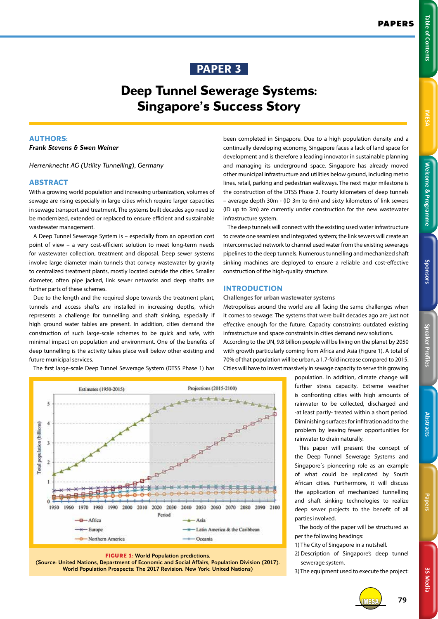**Welcome & Programme Table of Contents IMESA** 

Welcome & Programme

Sponsors

**Table of Contents** 

# **Deep Tunnel Sewerage Systems: Singapore's Success Story**

# **AUTHORS:**

*Frank Stevens & Swen Weiner*

*Herrenknecht AG (Utility Tunnelling), Germany*

## **ABSTRACT**

With a growing world population and increasing urbanization, volumes of sewage are rising especially in large cities which require larger capacities in sewage transport and treatment. The systems built decades ago need to be modernized, extended or replaced to ensure efficient and sustainable wastewater management.

A Deep Tunnel Sewerage System is – especially from an operation cost point of view – a very cost-efficient solution to meet long-term needs for wastewater collection, treatment and disposal. Deep sewer systems involve large diameter main tunnels that convey wastewater by gravity to centralized treatment plants, mostly located outside the cities. Smaller diameter, often pipe jacked, link sewer networks and deep shafts are further parts of these schemes.

Due to the length and the required slope towards the treatment plant, tunnels and access shafts are installed in increasing depths, which represents a challenge for tunnelling and shaft sinking, especially if high ground water tables are present. In addition, cities demand the construction of such large-scale schemes to be quick and safe, with minimal impact on population and environment. One of the benefits of deep tunnelling is the activity takes place well below other existing and future municipal services.

The first large-scale Deep Tunnel Sewerage System (DTSS Phase 1) has



**FIGURE 1:** World Population predictions.

(Source: United Nations, Department of Economic and Social Affairs, Population Division (2017). World Population Prospects: The 2017 Revision. New York: United Nations)

been completed in Singapore. Due to a high population density and a continually developing economy, Singapore faces a lack of land space for development and is therefore a leading innovator in sustainable planning and managing its underground space. Singapore has already moved other municipal infrastructure and utilities below ground, including metro lines, retail, parking and pedestrian walkways. The next major milestone is the construction of the DTSS Phase 2. Fourty kilometers of deep tunnels – average depth 30m - (ID 3m to 6m) and sixty kilometers of link sewers (ID up to 3m) are currently under construction for the new wastewater infrastructure system.

The deep tunnels will connect with the existing used water infrastructure to create one seamless and integrated system; the link sewers will create an interconnected network to channel used water from the existing sewerage pipelines to the deep tunnels. Numerous tunnelling and mechanized shaft sinking machines are deployed to ensure a reliable and cost-effective construction of the high-quality structure.

## **INTRODUCTION**

**Challenges for urban wastewater systems** 

Metropolises around the world are all facing the same challenges when it comes to sewage: The systems that were built decades ago are just not effective enough for the future. Capacity constraints outdated existing infrastructure and space constraints in cities demand new solutions.

According to the UN, 9.8 billion people will be living on the planet by 2050 with growth particularly coming from Africa and Asia (Figure 1). A total of 70% of that population will be urban, a 1.7-fold increase compared to 2015. Cities will have to invest massively in sewage capacity to serve this growing

> population. In addition, climate change will further stress capacity. Extreme weather is confronting cities with high amounts of rainwater to be collected, discharged and -at least partly- treated within a short period. Diminishing surfaces for infiltration add to the problem by leaving fewer opportunities for rainwater to drain naturally.

> This paper will present the concept of the Deep Tunnel Sewerage Systems and Singapore´s pioneering role as an example of what could be replicated by South African cities. Furthermore, it will discuss the application of mechanized tunnelling and shaft sinking technologies to realize deep sewer projects to the benefit of all parties involved.

> The body of the paper will be structured as per the following headings:

- 1) The City of Singapore in a nutshell.
- 2) Description of Singapore's deep tunnel sewerage system.

3) The equipment used to execute the project:



Papers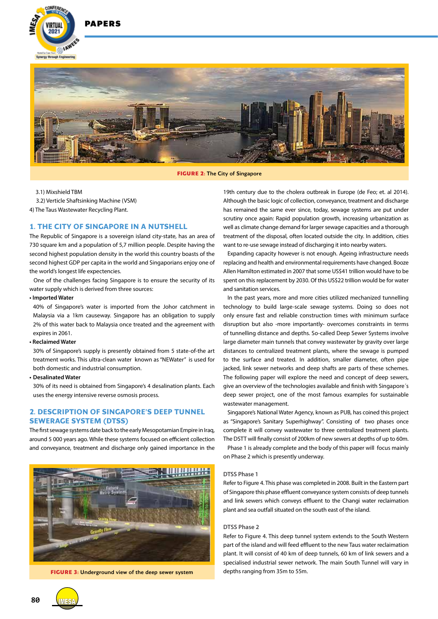

**DADEDS** 



**FIGURE 2:** The City of Singapore

3.1) Mixshield TBM

3.2) Verticle Shaftsinking Machine (VSM)

4) The Taus Wastewater Recycling Plant.

## **1. THE CITY OF SINGAPORE IN A NUTSHELL**

The Republic of Singapore is a sovereign island city-state, has an area of 730 square km and a population of 5,7 million people. Despite having the second highest population density in the world this country boasts of the second highest GDP per capita in the world and Singaporians enjoy one of the world's longest life expectencies.

One of the challenges facing Singapore is to ensure the security of its water supply which is derived from three sources:

**• Imported Water** 

40% of Singapore's water is imported from the Johor catchment in Malaysia via a 1km causeway. Singapore has an obligation to supply 2% of this water back to Malaysia once treated and the agreement with expires in 2061.

**• Reclaimed Water**

30% of Singapore's supply is presently obtained from 5 state-of-the art treatment works. This ultra-clean water known as "NEWater" is used for both domestic and industrial consumption.

**• Desalinated Water**

30% of its need is obtained from Singapore's 4 desalination plants. Each uses the energy intensive reverse osmosis process.

# **2. DESCRIPTION OF SINGAPORE'S DEEP TUNNEL SEWERAGE SYSTEM (DTSS)**

The first sewage systems date back to the early Mesopotamian Empire in Iraq, around 5 000 years ago. While these systems focused on efficient collection and conveyance, treatment and discharge only gained importance in the



**FIGURE 3:** Underground view of the deep sewer system

19th century due to the cholera outbreak in Europe (de Feo; et. al 2014). Although the basic logic of collection, conveyance, treatment and discharge has remained the same ever since, today, sewage systems are put under scrutiny once again: Rapid population growth, increasing urbanization as well as climate change demand for larger sewage capacities and a thorough treatment of the disposal, often located outside the city. In addition, cities want to re-use sewage instead of discharging it into nearby waters.

Expanding capacity however is not enough. Ageing infrastructure needs replacing and health and environmental requirements have changed. Booze Allen Hamilton estimated in 2007 that some US\$41 trillion would have to be spent on this replacement by 2030. Of this US\$22 trillion would be for water and sanitation services.

In the past years, more and more cities utilized mechanized tunnelling technology to build large-scale sewage systems. Doing so does not only ensure fast and reliable construction times with minimum surface disruption but also -more importantly- overcomes constraints in terms of tunnelling distance and depths. So-called Deep Sewer Systems involve large diameter main tunnels that convey wastewater by gravity over large distances to centralized treatment plants, where the sewage is pumped to the surface and treated. In addition, smaller diameter, often pipe jacked, link sewer networks and deep shafts are parts of these schemes. The following paper will explore the need and concept of deep sewers, give an overview of the technologies available and finish with Singapore´s deep sewer project, one of the most famous examples for sustainable wastewater management.

Singapore's National Water Agency, known as PUB, has coined this project as "Singapore's Sanitary Superhighway". Consisting of two phases once complete it will convey wastewater to three centralized treatment plants. The DSTT will finally consist of 200km of new sewers at depths of up to 60m.

Phase 1 is already complete and the body of this paper will focus mainly on Phase 2 which is presently underway.

#### **DTSS Phase 1**

Refer to Figure 4. This phase was completed in 2008. Built in the Eastern part of Singapore this phase effluent conveyance system consists of deep tunnels and link sewers which conveys effluent to the Changi water reclaimation plant and sea outfall situated on the south east of the island.

## **DTSS Phase 2**

Refer to Figure 4. This deep tunnel system extends to the South Western part of the island and will feed effluent to the new Taus water reclaimation plant. It will consist of 40 km of deep tunnels, 60 km of link sewers and a specialised industrial sewer network. The main South Tunnel will vary in depths ranging from 35m to 55m.

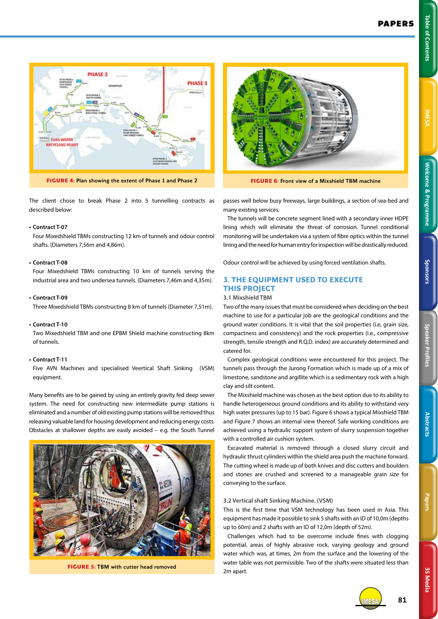



The client chose to break Phase 2 into 5 tunnelling contracts as described below:

## **• Contract T-07**

Four Mixedshield TBMs constructing 12 km of tunnels and odour control shafts. (Diameters 7,56m and 4,86m).

## **• Contract T-08**

Four Mixedshield TBMs constructing 10 km of tunnels serving the industrial area and two undersea tunnels. (Diameters 7,46m and 4,35m).

#### **• Contract T-09**

Three Mixedshield TBMs constructing 8 km of tunnels (Diameter 7,51m).

#### **• Contract T-10**

Two Mixedshield TBM and one EPBM Shield machine constructing 8km of tunnels.

## **• Contract T-11**

Five AVN Machines and specialised Veertical Shaft Sinking (VSM) equipment.

Many benefits are to be gained by using an entirely gravity fed deep sewer system. The need for constructing new intermediate pump stations is eliminated and a number of old existing pump stations will be removed thus releasing valuable land for housing development and reducing energy costs. Obstacles at shallower depths are easily avoided – e.g. the South Tunnel



**FIGURE 5:** TBM with cutter head removed



**FIGURE 6:** Front view of a Mixshield TBM machine

passes well below busy freeways, large buildings, a section of sea-bed and many existing services.

The tunnels will be concrete segment lined with a secondary inner HDPE lining which will eliminate the threat of corrosion. Tunnel conditional monitoring will be undertaken via a system of fibre optics within the tunnel lining and the need for human entry for inspection will be drastically reduced.

Odour control will be achieved by using forced ventilation shafts.

# **3. THE EQUIPMENT USED TO EXECUTE THIS PROJECT**

#### **3.1 Mixshield TBM**

Two of the many issues that must be considered when deciding on the best machine to use for a particular job are the geological conditions and the ground water conditions. It is vital that the soil properties (i.e, grain size, compactness and consistency) and the rock properties (i.e., compressive strength, tensile strength and R.Q.D. index) are accurately determined and catered for.

Complex geological conditions were encountered for this project. The tunnels pass through the Jurong Formation which is made up of a mix of limestone, sandstone and argillite which is a sedimentary rock with a high clay and silt content.

The Mixshield machine was chosen as the best option due to its ability to handle heterogeneous ground conditions and its ability to withstand very high water pressures (up to 15 bar). Figure 6 shows a typical Mixshield TBM and Figure 7 shows an internal view thereof. Safe working conditions are achieved using a hydraulic support system of slurry suspension together with a controlled air cushion system.

Excavated material is removed through a closed slurry circuit and hydraulic thrust cylinders within the shield area push the machine forward. The cutting wheel is made up of both knives and disc cutters and boulders and stones are crushed and screened to a manageable grain size for conveying to the surface.

#### **3.2 Vertical shaft Sinking Machine. (VSM)**

This is the first time that VSM technology has been used in Asia. This equipment has made it possible to sink 5 shafts with an ID of 10,0m (depths up to 60m) and 2 shafts with an ID of 12,0m (depth of 52m).

Challenges which had to be overcome include fines with clogging potential, areas of highly abrasive rock, varying geology and ground water which was, at times, 2m from the surface and the lowering of the water table was not permissible. Two of the shafts were situated less than 2m apart.





IMESA **81**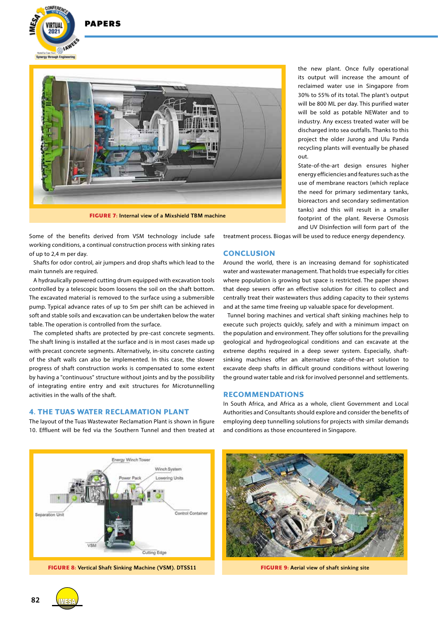

**DAPFRS** 



**FIGURE 7:** Internal view of a Mixshield TBM machine

Some of the benefits derived from VSM technology include safe working conditions, a continual construction process with sinking rates of up to 2,4 m per day.

Shafts for odor control, air jumpers and drop shafts which lead to the main tunnels are required.

A hydraulically powered cutting drum equipped with excavation tools controlled by a telescopic boom loosens the soil on the shaft bottom. The excavated material is removed to the surface using a submersible pump. Typical advance rates of up to 5m per shift can be achieved in soft and stable soils and excavation can be undertaken below the water table. The operation is controlled from the surface.

The completed shafts are protected by pre-cast concrete segments. The shaft lining is installed at the surface and is in most cases made up with precast concrete segments. Alternatively, in-situ concrete casting of the shaft walls can also be implemented. In this case, the slower progress of shaft construction works is compensated to some extent by having a "continuous" structure without joints and by the possibility of integrating entire entry and exit structures for Microtunnelling activities in the walls of the shaft.

## **4. THE TUAS WATER RECLAMATION PLANT**

The layout of the Tuas Wastewater Reclamation Plant is shown in figure 10. Effluent will be fed via the Southern Tunnel and then treated at the new plant. Once fully operational its output will increase the amount of reclaimed water use in Singapore from 30% to 55% of its total. The plant's output will be 800 ML per day. This purified water will be sold as potable NEWater and to industry. Any excess treated water will be discharged into sea outfalls. Thanks to this project the older Jurong and Ulu Panda recycling plants will eventually be phased out.

State-of-the-art design ensures higher energy efficiencies and features such as the use of membrane reactors (which replace the need for primary sedimentary tanks, bioreactors and secondary sedimentation tanks) and this will result in a smaller footprint of the plant. Reverse Osmosis and UV Disinfection will form part of the

treatment process. Biogas will be used to reduce energy dependency.

## **CONCLUSION**

Around the world, there is an increasing demand for sophisticated water and wastewater management. That holds true especially for cities where population is growing but space is restricted. The paper shows that deep sewers offer an effective solution for cities to collect and centrally treat their wastewaters thus adding capacity to their systems and at the same time freeing up valuable space for development.

Tunnel boring machines and vertical shaft sinking machines help to execute such projects quickly, safely and with a minimum impact on the population and environment. They offer solutions for the prevailing geological and hydrogeological conditions and can excavate at the extreme depths required in a deep sewer system. Especially, shaftsinking machines offer an alternative state-of-the-art solution to excavate deep shafts in difficult ground conditions without lowering the ground water table and risk for involved personnel and settlements.

## **RECOMMENDATIONS**

In South Africa, and Africa as a whole, client Government and Local Authorities and Consultants should explore and consider the benefits of employing deep tunnelling solutions for projects with similar demands and conditions as those encountered in Singapore.



**FIGURE 8:** Vertical Shaft Sinking Machine (VSM). DTSS11 **FIGURE 9:** Aerial view of shaft sinking site



**82** IMESA